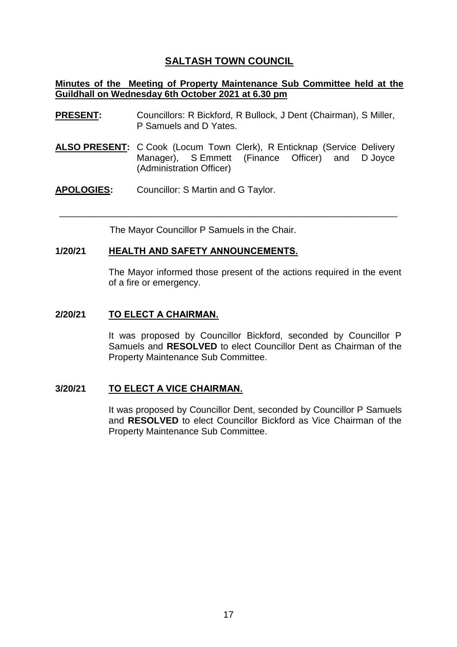## **SALTASH TOWN COUNCIL**

## **Minutes of the Meeting of Property Maintenance Sub Committee held at the Guildhall on Wednesday 6th October 2021 at 6.30 pm**

- **PRESENT:** Councillors: R Bickford, R Bullock, J Dent (Chairman), S Miller, P Samuels and D Yates.
- **ALSO PRESENT:** C Cook (Locum Town Clerk), R Enticknap (Service Delivery Manager), S Emmett (Finance Officer) and D Joyce (Administration Officer)

 $\_$  , and the set of the set of the set of the set of the set of the set of the set of the set of the set of the set of the set of the set of the set of the set of the set of the set of the set of the set of the set of th

**APOLOGIES:** Councillor: S Martin and G Taylor.

The Mayor Councillor P Samuels in the Chair.

## **1/20/21 HEALTH AND SAFETY ANNOUNCEMENTS.**

The Mayor informed those present of the actions required in the event of a fire or emergency.

#### **2/20/21 TO ELECT A CHAIRMAN.**

It was proposed by Councillor Bickford, seconded by Councillor P Samuels and **RESOLVED** to elect Councillor Dent as Chairman of the Property Maintenance Sub Committee.

## **3/20/21 TO ELECT A VICE CHAIRMAN.**

It was proposed by Councillor Dent, seconded by Councillor P Samuels and **RESOLVED** to elect Councillor Bickford as Vice Chairman of the Property Maintenance Sub Committee.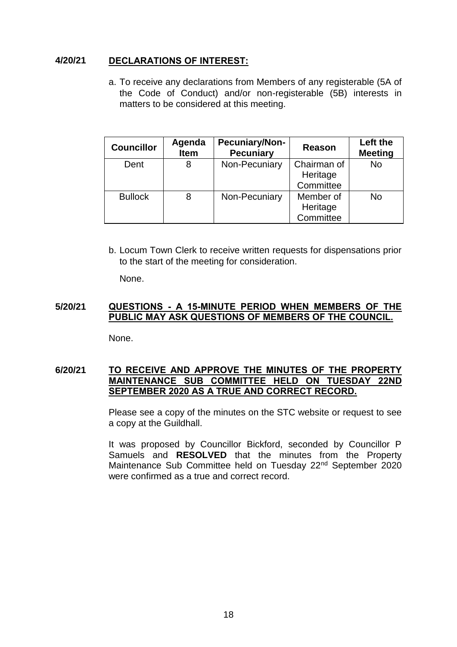#### **4/20/21 DECLARATIONS OF INTEREST:**

a. To receive any declarations from Members of any registerable (5A of the Code of Conduct) and/or non-registerable (5B) interests in matters to be considered at this meeting.

| <b>Councillor</b> | Agenda<br><b>Item</b> | Pecuniary/Non-<br><b>Pecuniary</b> | Reason                  | Left the<br><b>Meeting</b> |
|-------------------|-----------------------|------------------------------------|-------------------------|----------------------------|
| Dent              | 8                     | Non-Pecuniary                      | Chairman of<br>Heritage | <b>No</b>                  |
|                   |                       |                                    | Committee               |                            |
| <b>Bullock</b>    | 8                     | Non-Pecuniary                      | Member of               | No                         |
|                   |                       |                                    | Heritage                |                            |
|                   |                       |                                    | Committee               |                            |

b. Locum Town Clerk to receive written requests for dispensations prior to the start of the meeting for consideration.

None.

#### **5/20/21 QUESTIONS - A 15-MINUTE PERIOD WHEN MEMBERS OF THE PUBLIC MAY ASK QUESTIONS OF MEMBERS OF THE COUNCIL.**

None.

#### **6/20/21 TO RECEIVE AND APPROVE THE MINUTES OF THE PROPERTY MAINTENANCE SUB COMMITTEE HELD ON TUESDAY 22ND SEPTEMBER 2020 AS A TRUE AND CORRECT RECORD.**

Please see a copy of the minutes on the STC website or request to see a copy at the Guildhall.

It was proposed by Councillor Bickford, seconded by Councillor P Samuels and **RESOLVED** that the minutes from the Property Maintenance Sub Committee held on Tuesday 22<sup>nd</sup> September 2020 were confirmed as a true and correct record.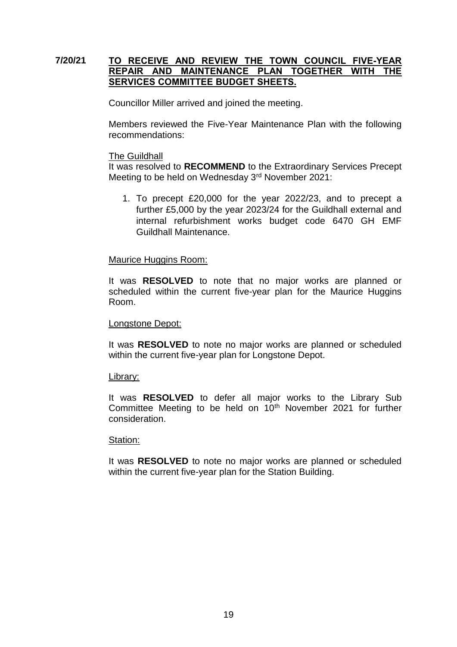## **7/20/21 TO RECEIVE AND REVIEW THE TOWN COUNCIL FIVE-YEAR REPAIR AND MAINTENANCE PLAN TOGETHER WITH THE SERVICES COMMITTEE BUDGET SHEETS.**

Councillor Miller arrived and joined the meeting.

Members reviewed the Five-Year Maintenance Plan with the following recommendations:

#### The Guildhall

It was resolved to **RECOMMEND** to the Extraordinary Services Precept Meeting to be held on Wednesday 3rd November 2021:

1. To precept £20,000 for the year 2022/23, and to precept a further £5,000 by the year 2023/24 for the Guildhall external and internal refurbishment works budget code 6470 GH EMF Guildhall Maintenance.

#### Maurice Huggins Room:

It was **RESOLVED** to note that no major works are planned or scheduled within the current five-year plan for the Maurice Huggins Room.

#### Longstone Depot:

It was **RESOLVED** to note no major works are planned or scheduled within the current five-year plan for Longstone Depot.

#### Library:

It was **RESOLVED** to defer all major works to the Library Sub Committee Meeting to be held on 10<sup>th</sup> November 2021 for further consideration.

#### Station:

It was **RESOLVED** to note no major works are planned or scheduled within the current five-year plan for the Station Building.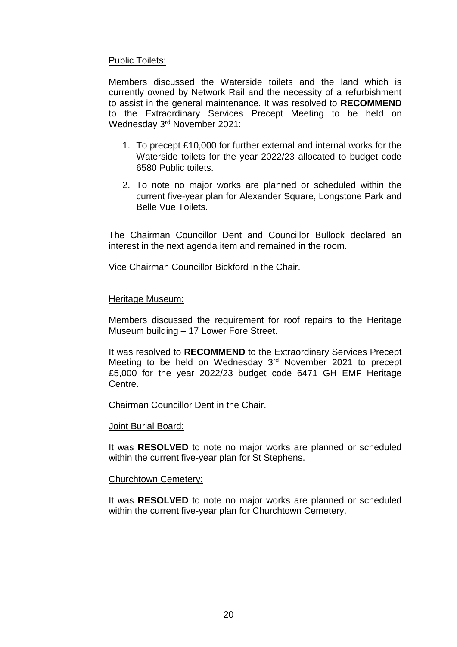## Public Toilets:

Members discussed the Waterside toilets and the land which is currently owned by Network Rail and the necessity of a refurbishment to assist in the general maintenance. It was resolved to **RECOMMEND** to the Extraordinary Services Precept Meeting to be held on Wednesday 3rd November 2021:

- 1. To precept £10,000 for further external and internal works for the Waterside toilets for the year 2022/23 allocated to budget code 6580 Public toilets.
- 2. To note no major works are planned or scheduled within the current five-year plan for Alexander Square, Longstone Park and Belle Vue Toilets.

The Chairman Councillor Dent and Councillor Bullock declared an interest in the next agenda item and remained in the room.

Vice Chairman Councillor Bickford in the Chair.

## Heritage Museum:

Members discussed the requirement for roof repairs to the Heritage Museum building – 17 Lower Fore Street.

It was resolved to **RECOMMEND** to the Extraordinary Services Precept Meeting to be held on Wednesday 3rd November 2021 to precept £5,000 for the year 2022/23 budget code 6471 GH EMF Heritage Centre.

Chairman Councillor Dent in the Chair.

#### Joint Burial Board:

It was **RESOLVED** to note no major works are planned or scheduled within the current five-year plan for St Stephens.

#### Churchtown Cemetery:

It was **RESOLVED** to note no major works are planned or scheduled within the current five-year plan for Churchtown Cemetery.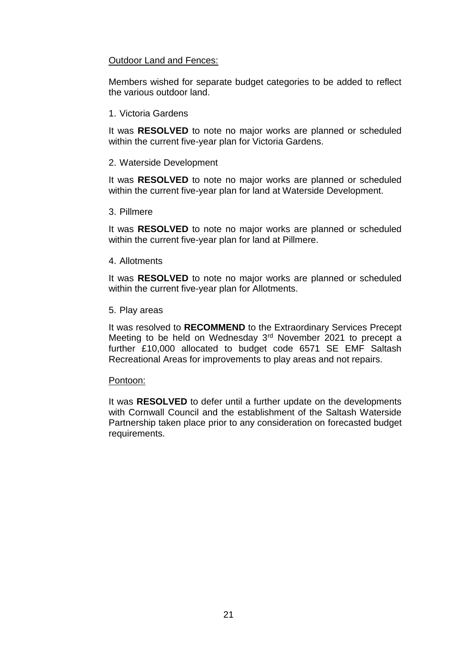## Outdoor Land and Fences:

Members wished for separate budget categories to be added to reflect the various outdoor land.

1. Victoria Gardens

It was **RESOLVED** to note no major works are planned or scheduled within the current five-year plan for Victoria Gardens.

#### 2. Waterside Development

It was **RESOLVED** to note no major works are planned or scheduled within the current five-year plan for land at Waterside Development.

3. Pillmere

It was **RESOLVED** to note no major works are planned or scheduled within the current five-year plan for land at Pillmere.

4. Allotments

It was **RESOLVED** to note no major works are planned or scheduled within the current five-year plan for Allotments.

5. Play areas

It was resolved to **RECOMMEND** to the Extraordinary Services Precept Meeting to be held on Wednesday 3rd November 2021 to precept a further £10,000 allocated to budget code 6571 SE EMF Saltash Recreational Areas for improvements to play areas and not repairs.

## Pontoon:

It was **RESOLVED** to defer until a further update on the developments with Cornwall Council and the establishment of the Saltash Waterside Partnership taken place prior to any consideration on forecasted budget requirements.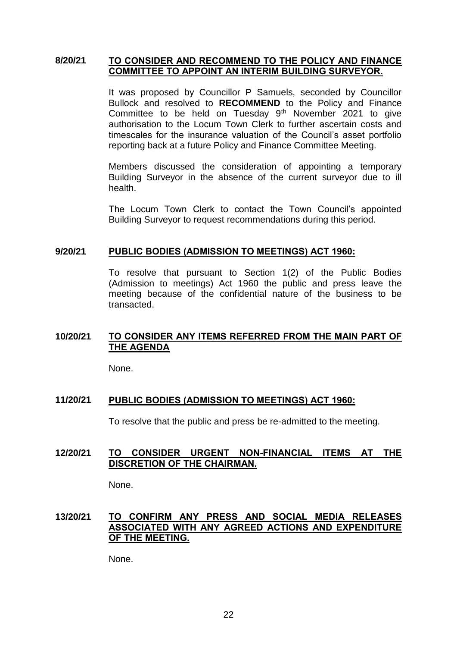#### **8/20/21 TO CONSIDER AND RECOMMEND TO THE POLICY AND FINANCE COMMITTEE TO APPOINT AN INTERIM BUILDING SURVEYOR.**

It was proposed by Councillor P Samuels, seconded by Councillor Bullock and resolved to **RECOMMEND** to the Policy and Finance Committee to be held on Tuesday  $9<sup>th</sup>$  November 2021 to give authorisation to the Locum Town Clerk to further ascertain costs and timescales for the insurance valuation of the Council's asset portfolio reporting back at a future Policy and Finance Committee Meeting.

Members discussed the consideration of appointing a temporary Building Surveyor in the absence of the current surveyor due to ill health.

The Locum Town Clerk to contact the Town Council's appointed Building Surveyor to request recommendations during this period.

#### **9/20/21 PUBLIC BODIES (ADMISSION TO MEETINGS) ACT 1960:**

To resolve that pursuant to Section 1(2) of the Public Bodies (Admission to meetings) Act 1960 the public and press leave the meeting because of the confidential nature of the business to be transacted.

## **10/20/21 TO CONSIDER ANY ITEMS REFERRED FROM THE MAIN PART OF THE AGENDA**

None.

## **11/20/21 PUBLIC BODIES (ADMISSION TO MEETINGS) ACT 1960:**

To resolve that the public and press be re-admitted to the meeting.

#### **12/20/21 TO CONSIDER URGENT NON-FINANCIAL ITEMS AT THE DISCRETION OF THE CHAIRMAN.**

None.

**13/20/21 TO CONFIRM ANY PRESS AND SOCIAL MEDIA RELEASES ASSOCIATED WITH ANY AGREED ACTIONS AND EXPENDITURE OF THE MEETING.**

None.